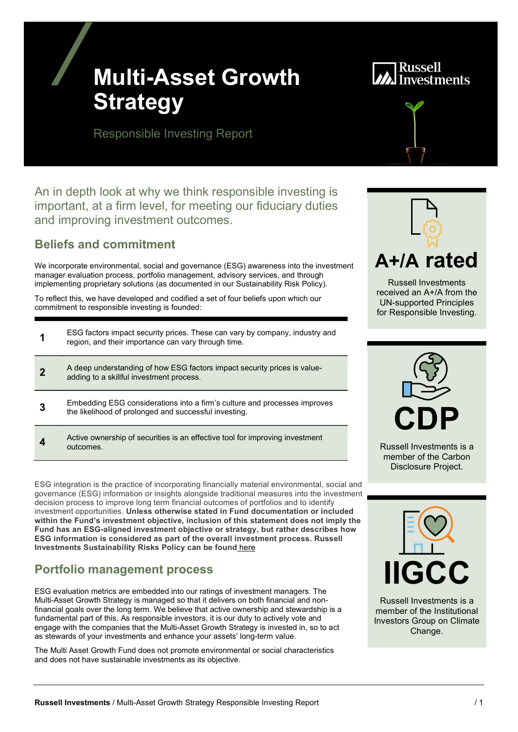## Multi-Asset Growth **Strategy**

# **Investments**

Responsible Investing Report

An in depth look at why we think responsible investing is important, at a firm level, for meeting our fiduciary duties and improving investment outcomes.

## Beliefs and commitment

We incorporate environmental, social and governance (ESG) awareness into the investment manager evaluation process, portfolio management, advisory services, and through implementing proprietary solutions (as documented in our Sustainability Risk Policy).

To reflect this, we have developed and codified a set of four beliefs upon which our commitment to responsible investing is founded:

| ESG factors impact security prices. These can vary by company, industry and<br>region, and their importance can vary through time. |
|------------------------------------------------------------------------------------------------------------------------------------|
| A deep understanding of how ESG factors impact security prices is value-<br>adding to a skillful investment process.               |
| Embedding ESG considerations into a firm's culture and processes improves<br>the likelihood of prolonged and successful investing. |
| Active ownership of securities is an effective tool for improving investment<br>outcomes.                                          |

ESG integration is the practice of incorporating financially material environmental, social and governance (ESG) information or insights alongside traditional measures into the investment decision process to improve long term financial outcomes of portfolios and to identify investment opportunities. Unless otherwise stated in Fund documentation or included within the Fund's investment objective, inclusion of this statement does not imply the Fund has an ESG-aligned investment objective or strategy, but rather describes how ESG information is considered as part of the overall investment process. Russell Investments Sustainability Risks Policy can be found here

## Portfolio management process

ESG evaluation metrics are embedded into our ratings of investment managers. The Multi-Asset Growth Strategy is managed so that it delivers on both financial and nonfinancial goals over the long term. We believe that active ownership and stewardship is a fundamental part of this. As responsible investors, it is our duty to actively vote and engage with the companies that the Multi-Asset Growth Strategy is invested in, so to act as stewards of your investments and enhance your assets' long-term value.

The Multi Asset Growth Fund does not promote environmental or social characteristics and does not have sustainable investments as its objective.



Russell Investments received an A+/A from the UN-supported Principles for Responsible Investing.



Russell Investments is a member of the Carbon Disclosure Project.



Russell Investments is a member of the Institutional Investors Group on Climate Change.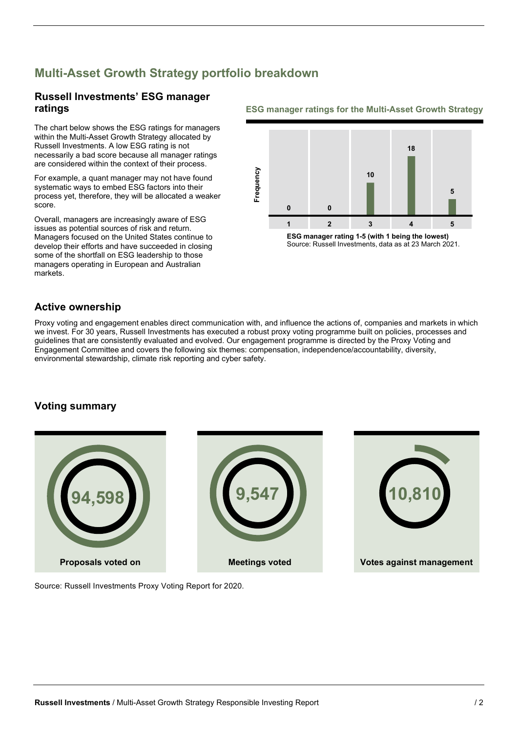## Multi-Asset Growth Strategy portfolio breakdown

## Russell Investments' ESG manager

The chart below shows the ESG ratings for managers within the Multi-Asset Growth Strategy allocated by Russell Investments. A low ESG rating is not necessarily a bad score because all manager ratings are considered within the context of their process.

For example, a quant manager may not have found systematic ways to embed ESG factors into their process yet, therefore, they will be allocated a weaker score.

Overall, managers are increasingly aware of ESG issues as potential sources of risk and return. Managers focused on the United States continue to develop their efforts and have succeeded in closing some of the shortfall on ESG leadership to those managers operating in European and Australian markets.

#### **ratings** The ESG manager ratings for the Multi-Asset Growth Strategy



ESG manager rating 1-5 (with 1 being the lowest) Source: Russell Investments, data as at 23 March 2021.

### Active ownership

Proxy voting and engagement enables direct communication with, and influence the actions of, companies and markets in which we invest. For 30 years, Russell Investments has executed a robust proxy voting programme built on policies, processes and guidelines that are consistently evaluated and evolved. Our engagement programme is directed by the Proxy Voting and Engagement Committee and covers the following six themes: compensation, independence/accountability, diversity, environmental stewardship, climate risk reporting and cyber safety.

### Voting summary



Source: Russell Investments Proxy Voting Report for 2020.